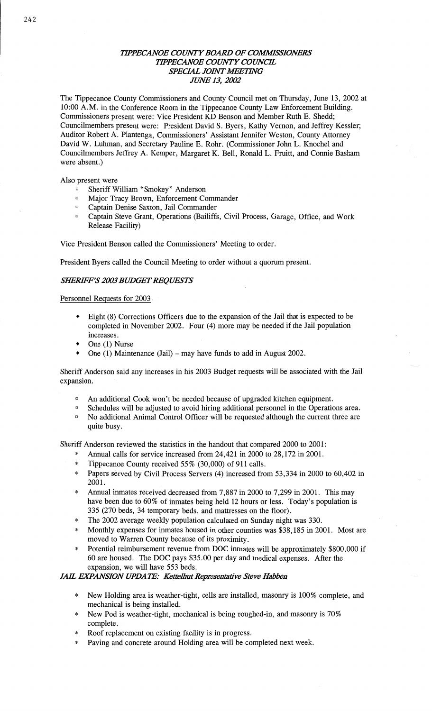## **TIPPECANOE COUNTY BOARD OF COMMISSIONERS** *TH'PECANOE COWTY COUNCE*  **SPECIAL JOINT MEETING** *JUNE 13, 2002*

The Tippecanoe County Commissioners and County Council met on Thursday, June 13, 2002 at 10:00 **A.M.** in the Conference Room in the Tippecanoe County Law Enforcement Building. Commissioners present were: Vice President KD Benson and Member Ruth B. Shedd; Councilmembers present were: President David S. Byers, **Kathy** Vernon, and Jeffrey Kessler; Auditor Robert A. Plantenga, Commissioners' Assistant Jennifer Weston, County Attorney David W. **Luhman,** and Secretary Pauline E. Rohr. (Commissioner John L. Knochel and Councilmembers Jeffrey A. Kemper, Margaret K. Bell, Ronald L. Pruitt, and Connie Basham were absent.)

Also present were

- Sheriff William "Smokey" Anderson
- <sup>D</sup> Major Tracy Brown, Enforcement Commander
- <sup>¤</sup> Captain Denise Saxton, Jail Commander
- <sup>n</sup> Captain Steve Grant, Operations (Bailiffs, Civil Process, Garage, Office, and Work Release Facility)

Vice President Benson called the **Commissioners'** Meeting to order.

President Byers called the Council Meeting to order without a quorum present.

#### *SWF'S 2003 BUDGET REQUESTS*

#### Personnel Requests for 2003.

- **<sup>9</sup>**Eight (8) Corrections Officers due to the expansion of the Jail that is expected to be completed in November 2002. Four (4) more may be needed if the Jail population increases.
- **0** One (1) Nurse
- One (1) Maintenance (Jail) may have funds to add in August 2002.

Sheriff **Anderson** said any increases in his 2003 Budget requests will be associated with the Jail expansion.

- **P** An additional Cook won't be needed because of upgraded kitchen equipment.
- <sup>D</sup> Schedules will be adjusted to avoid hiring additional personnel in the Operations area.
- **D** No additional Animal Control Officer will be requested although the current three are quite busy.

Sheriff Anderson reviewed the statistics in the **handout** that compared 2000 to 2001:

- Annual calls for service increased from 24,421 in 2000 to 28,172 in 2001.
	- **\*** Tippecanoe County received 55% (30,000) of 911 **calls.**
	- Papers served by Civil Process Servers (4) increased from 53,334 in 2000 to 60,402 in 2001.
	- **\* Annual** inmates received decreased from 7,887 in 2000 to 7,299 in 2001. This may have been due to 60% of inmates being held 12 hours or **less.** Today's population is 335 (270 beds, 34 temporary beds, and mattresses on the floor).
	- The 2002 average weekly population calculated on Sunday night was 330.
	- Monthly expenses for **inmates** housed in other counties was \$38,185 in 2001. Most are moved to Warren County because of its proximity.
	- \* Potential reimbursement revenue from DOC **inmates** will be approximately \$800,000 if 60 are housed. The DOC pays \$35.00 per day and medical expenses. After the expansion, we will **have** 553 beds.

### *JAIL EXPANSION UPDATE: Kettelhut Representative Steve Habben*

- New Holding area is weather-tight, cells are installed, masonry is 100% complete, and mechanical is being installed.
- New Pod is weather-tight, mechanical is being roughed-in, and masonry is 70% complete.
- Roof replacement on existing facility is in progress.
- Paving and concrete around Holding area will be completed **next** week.